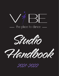





2021-2022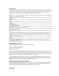### **DRESS CODE**

Appropriate dancewear is required for all classes. Being dressed properly will enable instructors to correct body placement. It also allows students to feel equally part of a group. Loose fitting or baggy clothing, heavy or loose jewelry, and inappropriate or offensive graphic writing on clothing is not allowed. We encourage you to purchase items locally at "Rosy Cheeks" or online through Discount Dance or Amazon. The dress code is as follows and will be enforced:

**ACRO:** Hair in a bun, bare feet**,** leggings and leotard or leggings and tight fitting top (unitards are OK but leggings are preferable as sometimes the mats are sticky).

**ADAPTIVE:** Hair off of face, tennis shoes/jazz shoes/ballet shoes acceptable (tap shoes may be needed), comfortable clothing (no jeans).

**BALLET 1 & 2:** Hair in a neat bun, any color leotard, pink full-footed tights, pink soft leather split-sole ballet shoes, skirt optional.

**BALLET 3 - ADVANCED:** Hair in a neat bun, black leotard, pink full-footed tights, pink soft leather split-sole ballet shoes, skirt optional.

**CONTEMPORARY:** Hair in a ponytail/bun/off the face, bare feet, any kind of tightly fitted clothing (shorts/leggings/leotards/tops).

**HIP HOP AND TOT HOP:** Hair style can be whatever the dancer is comfortable with, comfortable (not overly baggy) clothing (shorts/leggings/tops), supportive, indoor tennis shoes.

**JAZZ:** Hair in a ponytail/bun/off the face, tan leather split-sole slip-on jazz shoe, any kind of tightly fitted clothing (shorts/leggings/leotards/tops).

**LITTLES TAP:** Hair in a ponytail/bun/off the face, tan Mary Jane style shoes (any brand), shorts/leggings/leotards/any kind of top.

**LITTLE VIBES (combo ballet and tap class):** Hair in a neat bun or ponytail, any color leotard, pink full-footed tights, pink soft leather ballet shoes (not satin slippers, like from Target), tan Mary Jane style tap shoes (any brand), skirt optional.

**LYRICAL:** Hair in a ponytail/bun/off the face, tan leather split-sole, slip-on jazz shoes or bare feet, any kind of tightly fitted clothing (shorts/leggings/leotards/tops).

**POINTE:** Hair in a neat bun, black leotard, pink full-footed tights, see instructor for pointe shoe recommendation, skirt optional.

**STRETCHING AND MINDFULNESS:** Yoga mat, hair comfortable and off the face, leggings or shorts, comfortable top.

**TAP JUNIORS - ADVANCED:** Hair in a ponytail/bun/off the face, black tie shoes (any brand), NO split-sole or slip-ons, shorts/leggings/leotards/any kind of top.

### **REGISTRATION & TUITION**

The 2021-2022 Vibe dance season is divided into three 12-week sessions.

Session 1: September 6 - November 26 Session 2: November 29 - March 4 Session 3: Mar 7 - June 3

A non-refundable \$25 per dancer registration fee is due at the start of registration, annually, to hold a spot in class. Once registered, a student's class placement is considered reserved for the session. It is required that each family has a valid credit card on file. Tuition will be charged on a monthly basis. A late fee of \$15 will be added if payment is over four days past due. If late payment is due to an expired or declined credit card on file, this fee still applies.

A student who withdraws from Vibe must do so in writing. You are responsible for all charges to your account through the postmarked date of your withdrawal. There will be a \$50 withdrawal fee if the student withdraws before the end of a session. Students will be automatically enrolled for Session 2 unless otherwise requested.

#### **REGISTRATION APPROVAL AND PAYMENT**

Registered classes will be reviewed and approved by our instructors prior to payment being processed. If the instructors feel that a dancer is registered for a class that will not be a good match, they will recommend a preferred class. Once that is agreed upon by all parties and registration is approved, then payment will be processed.

## **INSURANCE**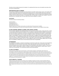Vibe does not carry medical insurance for its students. It is understood that if injury occurs, the student's own policy is their only source of reimbursement.

# **WEATHER RELATED CLOSINGS**

Vibe will follow the Middleton-Cross Plains Area School District for all weather related closings; however, if the weather clears up before classes begin, families will be made aware that classes plan to run. Announcements will be made on the studio website, through the email list and on our Facebook and Instagram pages. No make-up classes will be scheduled for weather closings, but you may make-up the lesson in a comparable class, in the same style, on another day if available. There are no guarantees that a comparable class in the same style and level will be available for a make-up.

# **HOLIDAYS**

Vibe will be closed for the following holidays:

Labor Day Sept 6 Thanksgiving Nov 25 Winter Break Dec 20-31\* Spring Break Mar 28-April 1\* Classes missed due to a holiday may be made up in another class of the same style, if available. \*Winter and Spring Breaks are not part of the monthly fee schedule, so families will not be charged for these breaks.

# **CLASS CHANGES, MISSED CLASSES, AND CANCELLATIONS**

Due to enrollment, registration and scheduling changes, Vibe may at any time combine classes, change class times, combine or cancel classes with less than three (3) students, or have a substitute or replacement instructor if needed. If any class has less than three students in attendance, the instructor may shorten the class and parents will be notified. If a student taking a solo, duet or trio lesson needs to cancel, the class is not eligible for make-up. If the instructor needs to cancel one of these classes, it will be eligible for make-up. If a student misses a group class, it is eligible for make-up by attending another class of the same style. It is not guaranteed that another class in the same style and level will be available for the student to take. There are no refunds or credits for missed group classes. If Vibe needs to cancel a group class, it may be rescheduled as a make-up with the instructor if possible, and if not, it may be eligible for make-up by way of taking a different class in the same style. The availability of a different class in the same style and same level is not guaranteed.

## **ATTENDANCE**

Good attendance is imperative, as absences and tardiness can hold back an entire class, and the studio cannot jeopardize its responsibilities to the rest of the class for one student. Please make every effort to have your child at every class. Only announced absences may be made-up. Make-up classes are not transferable to other students or sessions. There will be no refunds or credits for missed classes, vacations, or illnesses. If classes are missed habitually, a student's place in class or recital may not be guaranteed. This is particularly important during recital preparation.

## **CLASS PLACEMENT**

Class placement is decided upon by the instructors, not the business manager or administrative staff. Parents are encouraged to register their dancer(s) for classes based on age and experience level. Vibe instructors reserve the right to move students to a more appropriate class if the registered class is not a good fit. Instructors will communicate these changes and recommendations with parents directly. Any inquiries regarding where a dancer should be placed can be made to the Vibe office and then will be passed along to the instructors to guide parents as to which classes their dancer(s) should register for. The instructors look out for the best interest of the students and consider their personal dance journey, growth, and development when placing them in classes.

# **SUPPLEMENTAL TRAINING**

Additional training opportunities beyond classes may be available to students per request. Inquiries regarding setting up supplemental training sessions are communicated to the Vibe office staff and then discussed with instructors to arrange an appropriate fit for the student. Once an instructor and student are paired up, scheduling and payment will be handled by the office. Supplemental training fees vary by instructor, and covers both the Vibe studio rental fee and the instructor's hourly rate of pay.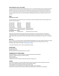# **PERFORMANCE AND COSTUMES**

Our year-end Summer Showcase will be tentatively held on June 4-5. A recital fee of \$30 per dancer or \$50 per family will be collected by March 18, 2022, to help cover the costs of putting on such an event. Costumes typically range anywhere from \$50.00 & up, depending on the age of the dancer. A \$50.00 non-refundable deposit per costume is due on December 17, 2021. All costumes must be paid in full before costumes are distributed. Payment plans are available for those with multiple costumes - please contact us to set up a payment schedule. Recital tights and shoes are not included in the price of the costumes.

### **FEES**

#### **Registration Fee: \$25.00**

Our 2021-2022 dance year is divided into three 12-week sessions. Classes will be billed monthly. Class fees (based on one class per week) are as follows:

| 30 minute class                   | \$56/month                                    | \$168/session                     |
|-----------------------------------|-----------------------------------------------|-----------------------------------|
| 45 minute class                   | \$64/month                                    | \$192/session                     |
| 60 minute class                   | \$84/month                                    | \$252/session                     |
| 90 minute class                   | \$108/month                                   | \$324/session                     |
| 30 minute private                 | \$172/month                                   | \$516/session*                    |
|                                   | 30 minute semi-private \$120/month per dancer | \$360/session/dancer*             |
| 30 minute trio                    | \$92/month per dancer                         | \$276/session/dancer*             |
| <b>ConfiDANCE (Drop-in Class)</b> |                                               |                                   |
| Per class rate:                   | \$12/single dancer                            | \$15/Family rate for two+ dancers |
|                                   |                                               |                                   |

\*Please note, dancers taking "private" lessons will perform a solo/duo/trio in our Summer Showcase. Dancers taking "supplemental" lessons will not. Supplemental lessons are billed according to the instructor's rate of pay + \$25/hour room rental. Supplementals are typically for working on skill-building, catching up when falling behind in class work, or rehearsing a piece.

## **SPOT TV**

Spot TV allows us to live stream classes so that parents/guardians/grandparents can enjoy a password protected, live viewing experience of their dancer's classes from anywhere. Spot TV costs just \$5 per month or \$20 per session. For more information, please visit Spot TV's website - <http://www.spottv.pro/live/>

\*For the 2021-2022 season, Spot TV will be complimentary for families.

# **OTHER FEES**

\$15 Late Payment fee \$25 Returned Check fee \$50 Disenrollment fee (if leaving before the end of a session)

# **TERMINATION OF ENROLLMENT**

Vibe Dance Madison, LLC. reserves the right to terminate enrollment based on the following: •Disruptive or dangerous behavior by students or parents. •Abuse or bullying. •Non-payment of tuition. •Violation of law on the Vibe premises (drugs, theft, destruction of property, etc.).

# **OTHER**

•If you have any questions or comments, please feel free to discuss them whenever it does not interfere with a class in session. We are always interested in improving our dance education program! •A parent/guardian must sign waivers for those under 18 years of age.

•Tuition payments are non-refundable and non-transferable to siblings or other Vibe dancers.

•Please refer to our Dancer Code of Conduct and Note to Parents/Guardians to understand Vibe's expectations.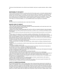•Vibe does not discriminate based on race, ethnicity, sexual orientation, body type, sex, gender expression, ability, or religion, etc.

## **RESPONSIBILITY FOR SAFETY**

There are certain risks that are inherent in any dance activity. Each Vibe member, guest, or nonmember participant agrees to accept personal responsibility for his or her safety. Vibe cannot ensure the safety of any participants. In participating at Vibe activities, each such person agrees to hold harmless and free of blame the instructors, and the Vibe officers and members, for any accident, injury, lost or damaged property, or illness that might be sustained from their participation. Pictures or video taken during performances and class time may be used for publicity purposes in newspapers, brochures, our website or social media, etc. All Vibe Dance Madison, LLC. and ConfiDANCE waivers must be signed prior to participation.

# **COVID**

We ask that anyone not vaccinated please wear a mask inside of the facility.

# **DANCER CODE OF CONDUCT**

- Make every effort to attend classes regularly and avoid absences.

- Arrive to class early and ready to dance (mentally, physically, and dressed appropriately; per the studio dress code). Come to class with a positive attitude and readiness to learn.

- Use the restroom before class begins.

- Tardiness is to be avoided. Classes typically begin with a warm-up, which is an important component to class and prepares the dancer's body to be ready for physical activity and avoid injury. If a student is over 10 minutes late, participation will be up to the instructor.

- Do not leave the classroom during class without permission from the instructor (please ask permission to use the restroom, etc.).

- Practice respect in the classroom for your instructors, assistants, and fellow dancers. When another group is dancing through a progression or combination, observe from the side, without being distracting, and provide support for your peers. Be aware of your body language (no hands on hips, folded arms, sitting down, etc.). Refrain from correcting other students unless specifically asked by your teacher to provide constructive criticism. Take corrections from your teachers positively and thank them for the corrections! Thank your teacher after class.

- No talking during class (unless the teacher grants you permission and there is an open discussion taking place relevant to classwork – do not talk over your teacher or other dancers).

- If injured, observing class is encouraged. When observing class, maintain respect by not talking or distracting the teacher and students.

- If taking class with a pre-existing injury, notify the instructor before class, and take responsibility for self-care and marking as necessary.

- Alert teacher immediately if injured in class.

- No cellphones are allowed in the classroom. Please ask the instructor for permission, if time at the end of class allows, to use your phone to take video of a combination or progression learned in class.

- No food, drinks, gum, or candy is allowed in class. Please bring a water bottle.

- Dancers are expected to be respectful of the waiting areas, dressing rooms, and studio space while keeping their belongings tidy. Vibe is not responsible for lost or stolen items.

- Dancers are expected to clean up after themselves in all areas of the studio.

- Any classwork posted on social media must be approved by the instructor and Vibe must be credited/tagged.

- When using social media (private or public) in relation to Vibe, never post anything that could compromise the self-esteem of students. Do not post negative comments about other dancers, staff, teachers, assistant teachers, parents, dances,

performances, etc. Do not post any pieces of choreography in their entirety, and if posting a section of choreography, ask for permission from the choreographer/instructor.

- A positive culture is especially important to us. Speaking negatively of teachers, assistant teachers, staff, students, or parents from Vibe or any other dance school will not be tolerated.

- Bullying will NOT be tolerated in the studio or on social media. Any behavior of this nature brought to the attention of the Vibe staff may result in a meeting with the dancer and their parents/guardians.

## **A NOTE TO PARENTS/GUARDIANS**

We encourage parents/guardians to review the above Dancer Code of Conduct with their dancer(s) and to remind them, as needed, of our expectations. We love when parents/guardians come and watch their dancer(s) as often as possible through each studio's viewing area. We want you to feel comfortable, welcome, and at home at Vibe! We do ask that if your child is a young dancer that you be available at any time during class to assist with using the restroom or for any behavioral assistance as needed. Young children (both dancers and siblings in the waiting area) require supervision at all times. If you ever have a question for an instructor, please refrain from talking to them during class or trying to catch them in between classes, as they